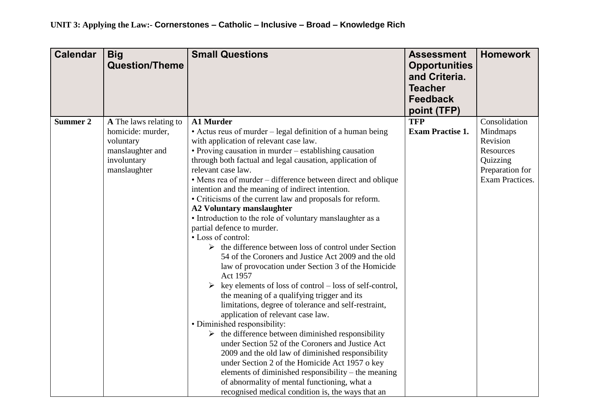| <b>Calendar</b> | <b>Big</b><br><b>Question/Theme</b> | <b>Small Questions</b>                                                | <b>Assessment</b><br><b>Opportunities</b><br>and Criteria.<br><b>Teacher</b><br><b>Feedback</b><br>point (TFP) | <b>Homework</b> |
|-----------------|-------------------------------------|-----------------------------------------------------------------------|----------------------------------------------------------------------------------------------------------------|-----------------|
| <b>Summer 2</b> | A The laws relating to              | <b>A1 Murder</b>                                                      | <b>TFP</b>                                                                                                     | Consolidation   |
|                 | homicide: murder,                   | • Actus reus of murder – legal definition of a human being            | <b>Exam Practise 1.</b>                                                                                        | Mindmaps        |
|                 | voluntary                           | with application of relevant case law.                                |                                                                                                                | Revision        |
|                 | manslaughter and                    | • Proving causation in murder – establishing causation                |                                                                                                                | Resources       |
|                 | involuntary                         | through both factual and legal causation, application of              |                                                                                                                | Quizzing        |
|                 | manslaughter                        | relevant case law.                                                    |                                                                                                                | Preparation for |
|                 |                                     | • Mens rea of murder – difference between direct and oblique          |                                                                                                                | Exam Practices. |
|                 |                                     | intention and the meaning of indirect intention.                      |                                                                                                                |                 |
|                 |                                     | • Criticisms of the current law and proposals for reform.             |                                                                                                                |                 |
|                 |                                     | <b>A2 Voluntary manslaughter</b>                                      |                                                                                                                |                 |
|                 |                                     | • Introduction to the role of voluntary manslaughter as a             |                                                                                                                |                 |
|                 |                                     | partial defence to murder.                                            |                                                                                                                |                 |
|                 |                                     | • Loss of control:                                                    |                                                                                                                |                 |
|                 |                                     | $\triangleright$ the difference between loss of control under Section |                                                                                                                |                 |
|                 |                                     | 54 of the Coroners and Justice Act 2009 and the old                   |                                                                                                                |                 |
|                 |                                     | law of provocation under Section 3 of the Homicide                    |                                                                                                                |                 |
|                 |                                     | <b>Act 1957</b>                                                       |                                                                                                                |                 |
|                 |                                     | key elements of loss of control – loss of self-control,               |                                                                                                                |                 |
|                 |                                     | the meaning of a qualifying trigger and its                           |                                                                                                                |                 |
|                 |                                     | limitations, degree of tolerance and self-restraint,                  |                                                                                                                |                 |
|                 |                                     | application of relevant case law.                                     |                                                                                                                |                 |
|                 |                                     | • Diminished responsibility:                                          |                                                                                                                |                 |
|                 |                                     | $\triangleright$ the difference between diminished responsibility     |                                                                                                                |                 |
|                 |                                     | under Section 52 of the Coroners and Justice Act                      |                                                                                                                |                 |
|                 |                                     | 2009 and the old law of diminished responsibility                     |                                                                                                                |                 |
|                 |                                     | under Section 2 of the Homicide Act 1957 o key                        |                                                                                                                |                 |
|                 |                                     | elements of diminished responsibility – the meaning                   |                                                                                                                |                 |
|                 |                                     | of abnormality of mental functioning, what a                          |                                                                                                                |                 |
|                 |                                     | recognised medical condition is, the ways that an                     |                                                                                                                |                 |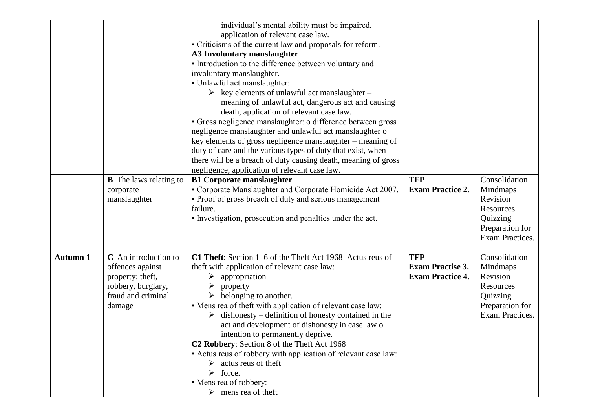|                 |                                                                                                                    | individual's mental ability must be impaired,<br>application of relevant case law.<br>• Criticisms of the current law and proposals for reform.<br>A3 Involuntary manslaughter<br>• Introduction to the difference between voluntary and<br>involuntary manslaughter.<br>· Unlawful act manslaughter:<br>$\triangleright$ key elements of unlawful act manslaughter –                                                                                                                                                                                                                                                                                       |                                                                  |                                                                                                             |
|-----------------|--------------------------------------------------------------------------------------------------------------------|-------------------------------------------------------------------------------------------------------------------------------------------------------------------------------------------------------------------------------------------------------------------------------------------------------------------------------------------------------------------------------------------------------------------------------------------------------------------------------------------------------------------------------------------------------------------------------------------------------------------------------------------------------------|------------------------------------------------------------------|-------------------------------------------------------------------------------------------------------------|
|                 |                                                                                                                    | meaning of unlawful act, dangerous act and causing<br>death, application of relevant case law.<br>• Gross negligence manslaughter: o difference between gross<br>negligence manslaughter and unlawful act manslaughter o<br>key elements of gross negligence manslaughter – meaning of<br>duty of care and the various types of duty that exist, when<br>there will be a breach of duty causing death, meaning of gross<br>negligence, application of relevant case law.                                                                                                                                                                                    |                                                                  |                                                                                                             |
|                 | <b>B</b> The laws relating to<br>corporate<br>manslaughter                                                         | <b>B1 Corporate manslaughter</b><br>• Corporate Manslaughter and Corporate Homicide Act 2007.<br>• Proof of gross breach of duty and serious management<br>failure.<br>• Investigation, prosecution and penalties under the act.                                                                                                                                                                                                                                                                                                                                                                                                                            | <b>TFP</b><br><b>Exam Practice 2.</b>                            | Consolidation<br>Mindmaps<br>Revision<br>Resources<br>Quizzing<br>Preparation for<br><b>Exam Practices.</b> |
| <b>Autumn 1</b> | C An introduction to<br>offences against<br>property: theft,<br>robbery, burglary,<br>fraud and criminal<br>damage | C1 Theft: Section 1-6 of the Theft Act 1968 Actus reus of<br>theft with application of relevant case law:<br>appropriation<br>➤<br>property<br>➤<br>belonging to another.<br>• Mens rea of theft with application of relevant case law:<br>dishonesty – definition of honesty contained in the<br>➤<br>act and development of dishonesty in case law o<br>intention to permanently deprive.<br>C <sub>2</sub> Robbery: Section 8 of the Theft Act 1968<br>• Actus reus of robbery with application of relevant case law:<br>$\triangleright$ actus reus of theft<br>$\triangleright$ force.<br>• Mens rea of robbery:<br>$\triangleright$ mens rea of theft | <b>TFP</b><br><b>Exam Practise 3.</b><br><b>Exam Practice 4.</b> | Consolidation<br>Mindmaps<br>Revision<br>Resources<br>Quizzing<br>Preparation for<br>Exam Practices.        |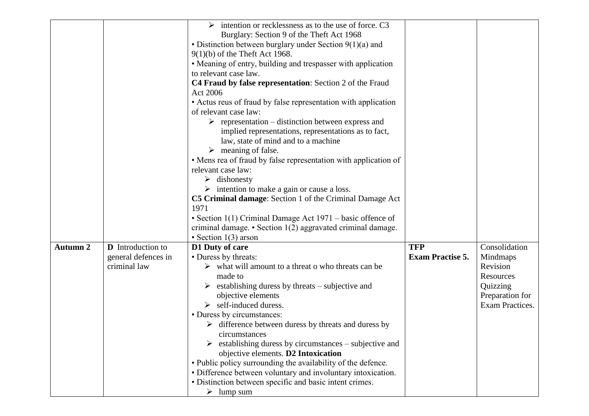|                                             | intention or recklessness as to the use of force. C3<br>➤           |                         |                                    |
|---------------------------------------------|---------------------------------------------------------------------|-------------------------|------------------------------------|
|                                             | Burglary: Section 9 of the Theft Act 1968                           |                         |                                    |
|                                             | • Distinction between burglary under Section $9(1)(a)$ and          |                         |                                    |
|                                             | $9(1)(b)$ of the Theft Act 1968.                                    |                         |                                    |
|                                             | • Meaning of entry, building and trespasser with application        |                         |                                    |
|                                             | to relevant case law.                                               |                         |                                    |
|                                             | C4 Fraud by false representation: Section 2 of the Fraud            |                         |                                    |
|                                             | Act 2006                                                            |                         |                                    |
|                                             | • Actus reus of fraud by false representation with application      |                         |                                    |
|                                             | of relevant case law:                                               |                         |                                    |
|                                             | $\triangleright$ representation – distinction between express and   |                         |                                    |
|                                             | implied representations, representations as to fact,                |                         |                                    |
|                                             | law, state of mind and to a machine                                 |                         |                                    |
|                                             | $\triangleright$ meaning of false.                                  |                         |                                    |
|                                             | • Mens rea of fraud by false representation with application of     |                         |                                    |
|                                             | relevant case law:                                                  |                         |                                    |
|                                             | $\triangleright$ dishonesty                                         |                         |                                    |
|                                             | $\triangleright$ intention to make a gain or cause a loss.          |                         |                                    |
|                                             | C5 Criminal damage: Section 1 of the Criminal Damage Act            |                         |                                    |
|                                             | 1971                                                                |                         |                                    |
|                                             | • Section 1(1) Criminal Damage Act $1971$ – basic offence of        |                         |                                    |
|                                             | criminal damage. $\bullet$ Section 1(2) aggravated criminal damage. |                         |                                    |
|                                             | • Section $1(3)$ arson                                              |                         |                                    |
| <b>Autumn 2</b><br><b>D</b> Introduction to | D1 Duty of care                                                     | <b>TFP</b>              | Consolidation                      |
| general defences in                         | • Duress by threats:                                                | <b>Exam Practise 5.</b> | Mindmaps                           |
| criminal law                                | $\triangleright$ what will amount to a threat o who threats can be  |                         | Revision                           |
|                                             | made to                                                             |                         | Resources                          |
|                                             | $\triangleright$ establishing duress by threats – subjective and    |                         | Quizzing                           |
|                                             | objective elements<br>$\triangleright$ self-induced duress.         |                         | Preparation for<br>Exam Practices. |
|                                             | • Duress by circumstances:                                          |                         |                                    |
|                                             | $\triangleright$ difference between duress by threats and duress by |                         |                                    |
|                                             | circumstances                                                       |                         |                                    |
|                                             | establishing duress by circumstances – subjective and               |                         |                                    |
|                                             | objective elements. D2 Intoxication                                 |                         |                                    |
|                                             | • Public policy surrounding the availability of the defence.        |                         |                                    |
|                                             | • Difference between voluntary and involuntary intoxication.        |                         |                                    |
|                                             | · Distinction between specific and basic intent crimes.             |                         |                                    |
|                                             | $\triangleright$ lump sum                                           |                         |                                    |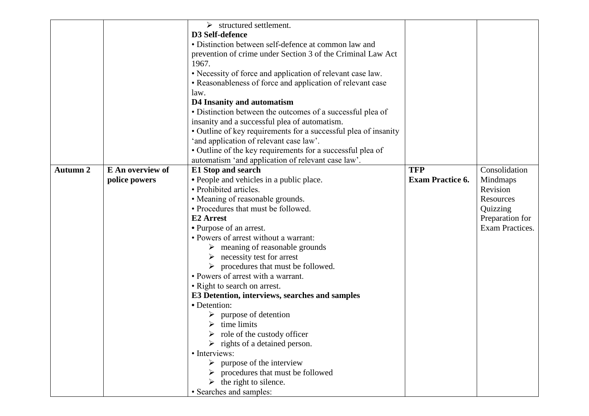|                 |                  | $\triangleright$ structured settlement.                         |                         |                 |
|-----------------|------------------|-----------------------------------------------------------------|-------------------------|-----------------|
|                 |                  | D3 Self-defence                                                 |                         |                 |
|                 |                  | • Distinction between self-defence at common law and            |                         |                 |
|                 |                  | prevention of crime under Section 3 of the Criminal Law Act     |                         |                 |
|                 |                  | 1967.                                                           |                         |                 |
|                 |                  | • Necessity of force and application of relevant case law.      |                         |                 |
|                 |                  | • Reasonableness of force and application of relevant case      |                         |                 |
|                 |                  | law.                                                            |                         |                 |
|                 |                  | D4 Insanity and automatism                                      |                         |                 |
|                 |                  | • Distinction between the outcomes of a successful plea of      |                         |                 |
|                 |                  | insanity and a successful plea of automatism.                   |                         |                 |
|                 |                  | • Outline of key requirements for a successful plea of insanity |                         |                 |
|                 |                  | 'and application of relevant case law'.                         |                         |                 |
|                 |                  | · Outline of the key requirements for a successful plea of      |                         |                 |
|                 |                  | automatism 'and application of relevant case law'.              |                         |                 |
| <b>Autumn 2</b> | E An overview of | E1 Stop and search                                              | <b>TFP</b>              | Consolidation   |
|                 | police powers    | • People and vehicles in a public place.                        | <b>Exam Practice 6.</b> | Mindmaps        |
|                 |                  | • Prohibited articles.                                          |                         | Revision        |
|                 |                  | • Meaning of reasonable grounds.                                |                         | Resources       |
|                 |                  | • Procedures that must be followed.                             |                         | Quizzing        |
|                 |                  | E <sub>2</sub> Arrest                                           |                         | Preparation for |
|                 |                  | • Purpose of an arrest.                                         |                         | Exam Practices. |
|                 |                  | • Powers of arrest without a warrant:                           |                         |                 |
|                 |                  | $\triangleright$ meaning of reasonable grounds                  |                         |                 |
|                 |                  | necessity test for arrest<br>➤                                  |                         |                 |
|                 |                  | $\triangleright$ procedures that must be followed.              |                         |                 |
|                 |                  | • Powers of arrest with a warrant.                              |                         |                 |
|                 |                  | • Right to search on arrest.                                    |                         |                 |
|                 |                  | E3 Detention, interviews, searches and samples                  |                         |                 |
|                 |                  | · Detention:                                                    |                         |                 |
|                 |                  | $\triangleright$ purpose of detention                           |                         |                 |
|                 |                  | $\triangleright$ time limits                                    |                         |                 |
|                 |                  | $\triangleright$ role of the custody officer                    |                         |                 |
|                 |                  | $\triangleright$ rights of a detained person.                   |                         |                 |
|                 |                  | · Interviews:                                                   |                         |                 |
|                 |                  | $\triangleright$ purpose of the interview                       |                         |                 |
|                 |                  | procedures that must be followed                                |                         |                 |
|                 |                  | the right to silence.                                           |                         |                 |
|                 |                  | · Searches and samples:                                         |                         |                 |